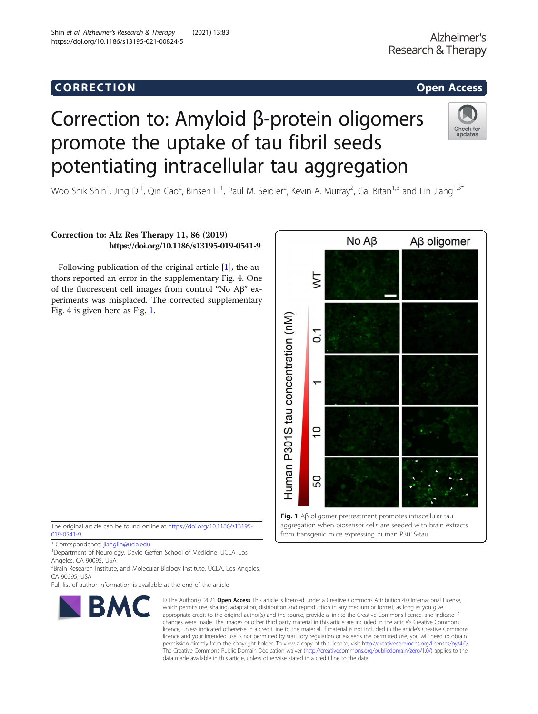## Corresponding to the corresponding to the corresponding to the corresponding to the corresponding to the corresponding to the corresponding to the corresponding to the corresponding to the corresponding to the correspondin

# Correction to: Amyloid β-protein oligomers promote the uptake of tau fibril seeds potentiating intracellular tau aggregation

Woo Shik Shin<sup>1</sup>, Jing Di<sup>1</sup>, Qin Cao<sup>2</sup>, Binsen Li<sup>1</sup>, Paul M. Seidler<sup>2</sup>, Kevin A. Murray<sup>2</sup>, Gal Bitan<sup>1,3</sup> and Lin Jiang<sup>1,3\*</sup>

## Correction to: Alz Res Therapy 11, 86 (2019) https://doi.org/10.1186/s13195-019-0541-9

Following publication of the original article [\[1](#page-1-0)], the authors reported an error in the supplementary Fig. 4. One of the fluorescent cell images from control "No Aβ" experiments was misplaced. The corrected supplementary Fig. 4 is given here as Fig. 1.

The original article can be found online at [https://doi.org/10.1186/s13195-](https://doi.org/10.1186/s13195-019-0541-9) [019-0541-9.](https://doi.org/10.1186/s13195-019-0541-9)

<sup>1</sup>Department of Neurology, David Geffen School of Medicine, UCLA, Los Angeles, CA 90095, USA

Full list of author information is available at the end of the article

### © The Author(s), 2021 **Open Access** This article is licensed under a Creative Commons Attribution 4.0 International License, which permits use, sharing, adaptation, distribution and reproduction in any medium or format, as long as you give appropriate credit to the original author(s) and the source, provide a link to the Creative Commons licence, and indicate if changes were made. The images or other third party material in this article are included in the article's Creative Commons licence, unless indicated otherwise in a credit line to the material. If material is not included in the article's Creative Commons licence and your intended use is not permitted by statutory regulation or exceeds the permitted use, you will need to obtain permission directly from the copyright holder. To view a copy of this licence, visit [http://creativecommons.org/licenses/by/4.0/.](http://creativecommons.org/licenses/by/4.0/) The Creative Commons Public Domain Dedication waiver [\(http://creativecommons.org/publicdomain/zero/1.0/](http://creativecommons.org/publicdomain/zero/1.0/)) applies to the data made available in this article, unless otherwise stated in a credit line to the data.

**BMC** 





<sup>\*</sup> Correspondence: [jianglin@ucla.edu](mailto:jianglin@ucla.edu) <sup>1</sup>

<sup>&</sup>lt;sup>3</sup> Brain Research Institute, and Molecular Biology Institute, UCLA, Los Angeles, CA 90095, USA